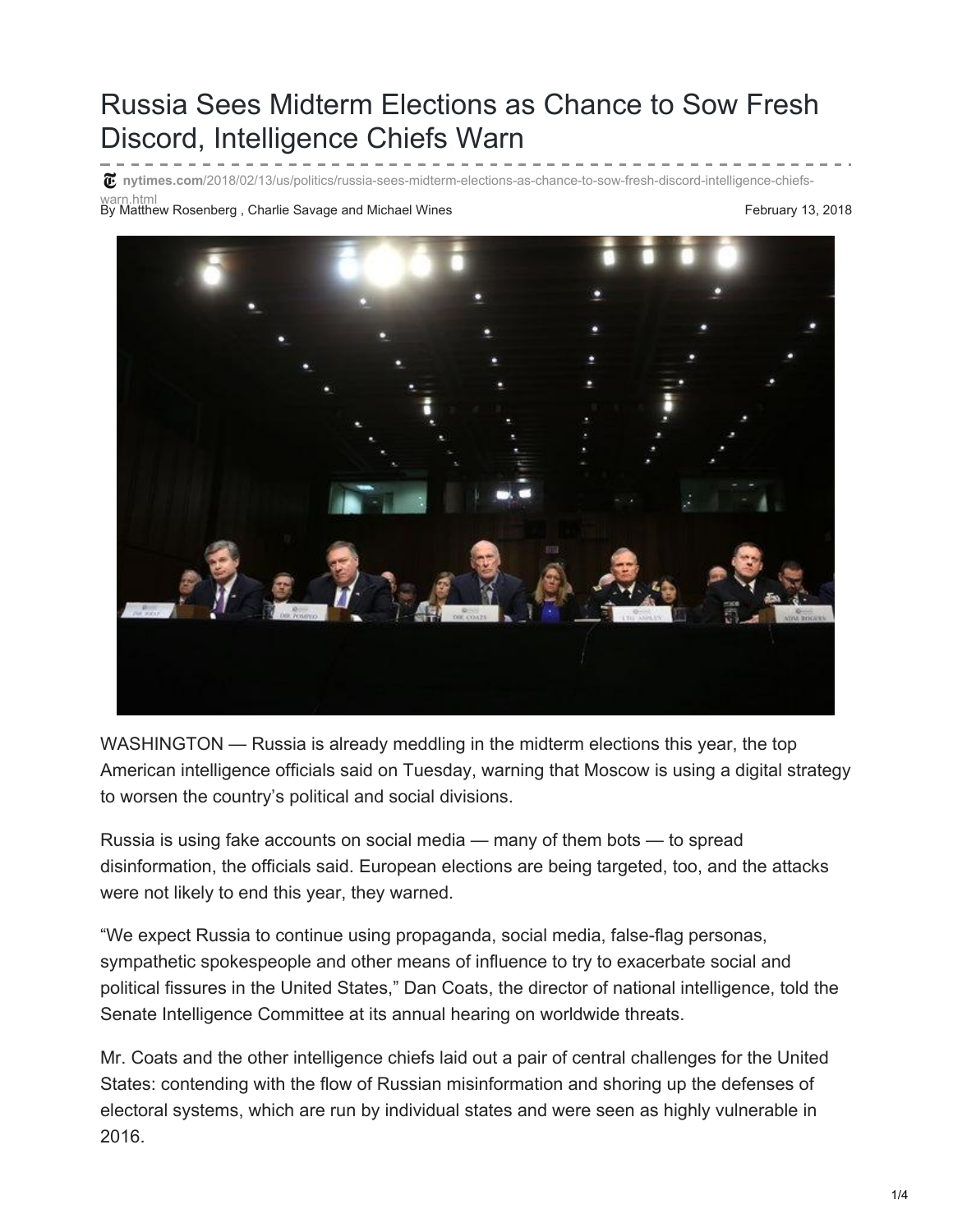## Russia Sees Midterm Elections as Chance to Sow Fresh Discord, Intelligence Chiefs Warn

warn.html<br>By Matthew Rosenberg , Charlie Savage and Michael Wines February 13, 2018 **nytimes.com**[/2018/02/13/us/politics/russia-sees-midterm-elections-as-chance-to-sow-fresh-discord-intelligence-chiefs-](https://www.nytimes.com/2018/02/13/us/politics/russia-sees-midterm-elections-as-chance-to-sow-fresh-discord-intelligence-chiefs-warn.html)



WASHINGTON — Russia is already meddling in the midterm elections this year, the top American intelligence officials said on Tuesday, warning that Moscow is using a digital strategy to worsen the country's political and social divisions.

Russia is using fake accounts on social media — many of them bots — to spread disinformation, the officials said. European elections are being targeted, too, and the attacks were not likely to end this year, they warned.

"We expect Russia to continue using propaganda, social media, false-flag personas, sympathetic spokespeople and other means of influence to try to exacerbate social and political fissures in the United States," Dan Coats, the director of national intelligence, told the Senate Intelligence Committee at its annual hearing on worldwide threats.

Mr. Coats and the other intelligence chiefs laid out a pair of central challenges for the United States: contending with the flow of Russian misinformation and shoring up the defenses of electoral systems, which are run by individual states and were seen as highly vulnerable in 2016.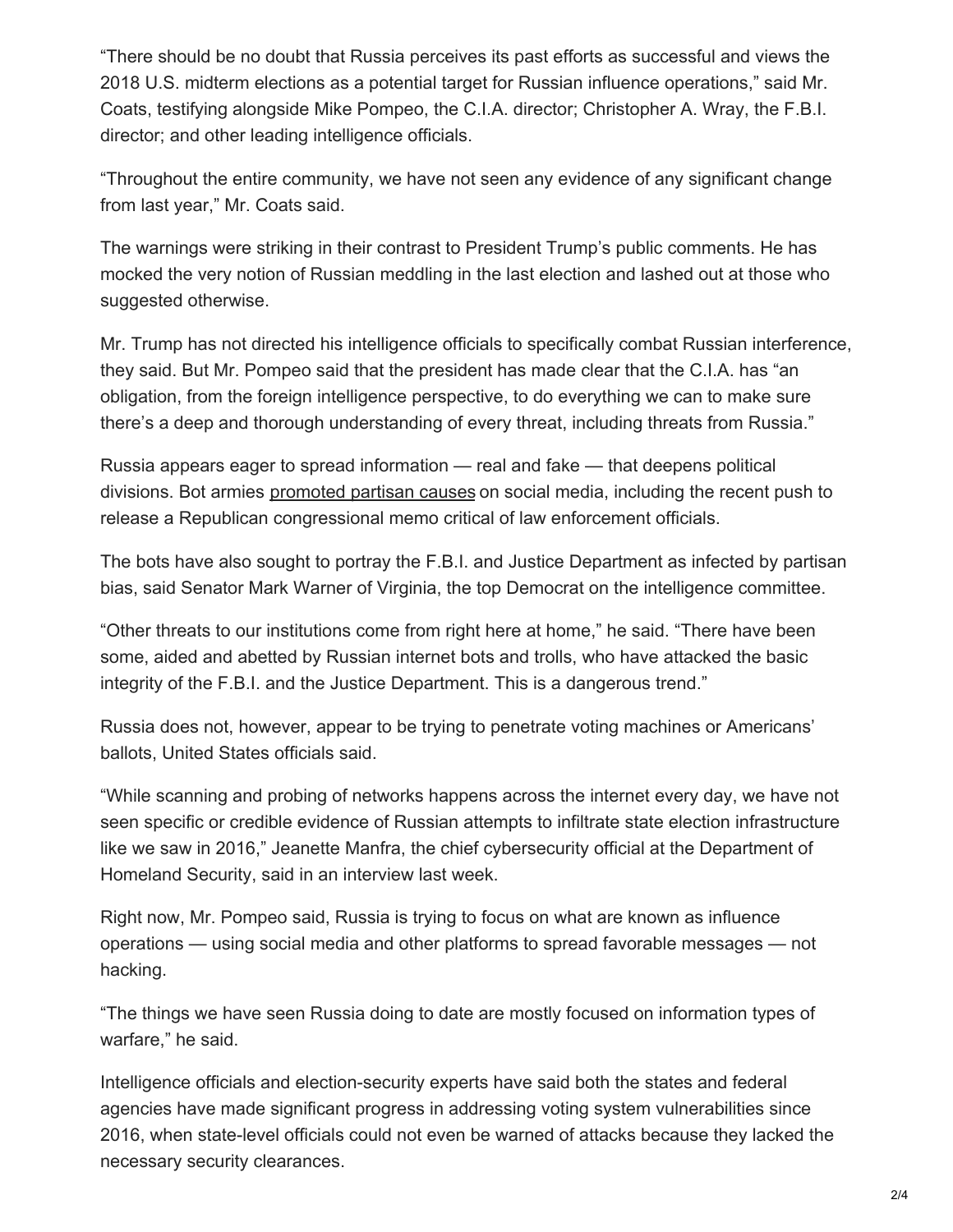"There should be no doubt that Russia perceives its past efforts as successful and views the 2018 U.S. midterm elections as a potential target for Russian influence operations," said Mr. Coats, testifying alongside Mike Pompeo, the C.I.A. director; Christopher A. Wray, the F.B.I. director; and other leading intelligence officials.

"Throughout the entire community, we have not seen any evidence of any significant change from last year," Mr. Coats said.

The warnings were striking in their contrast to President Trump's public comments. He has mocked the very notion of Russian meddling in the last election and lashed out at those who suggested otherwise.

Mr. Trump has not directed his intelligence officials to specifically combat Russian interference, they said. But Mr. Pompeo said that the president has made clear that the C.I.A. has "an obligation, from the foreign intelligence perspective, to do everything we can to make sure there's a deep and thorough understanding of every threat, including threats from Russia."

Russia appears eager to spread information — real and fake — that deepens political divisions. Bot armies [promoted](https://www.politico.com/magazine/story/2018/02/04/trump-twitter-russians-release-the-memo-216935) partisan causes on social media, including the recent push to release a Republican congressional memo critical of law enforcement officials.

The bots have also sought to portray the F.B.I. and Justice Department as infected by partisan bias, said Senator Mark Warner of Virginia, the top Democrat on the intelligence committee.

"Other threats to our institutions come from right here at home," he said. "There have been some, aided and abetted by Russian internet bots and trolls, who have attacked the basic integrity of the F.B.I. and the Justice Department. This is a dangerous trend."

Russia does not, however, appear to be trying to penetrate voting machines or Americans' ballots, United States officials said.

"While scanning and probing of networks happens across the internet every day, we have not seen specific or credible evidence of Russian attempts to infiltrate state election infrastructure like we saw in 2016," Jeanette Manfra, the chief cybersecurity official at the Department of Homeland Security, said in an interview last week.

Right now, Mr. Pompeo said, Russia is trying to focus on what are known as influence operations — using social media and other platforms to spread favorable messages — not hacking.

"The things we have seen Russia doing to date are mostly focused on information types of warfare," he said.

Intelligence officials and election-security experts have said both the states and federal agencies have made significant progress in addressing voting system vulnerabilities since 2016, when state-level officials could not even be warned of attacks because they lacked the necessary security clearances.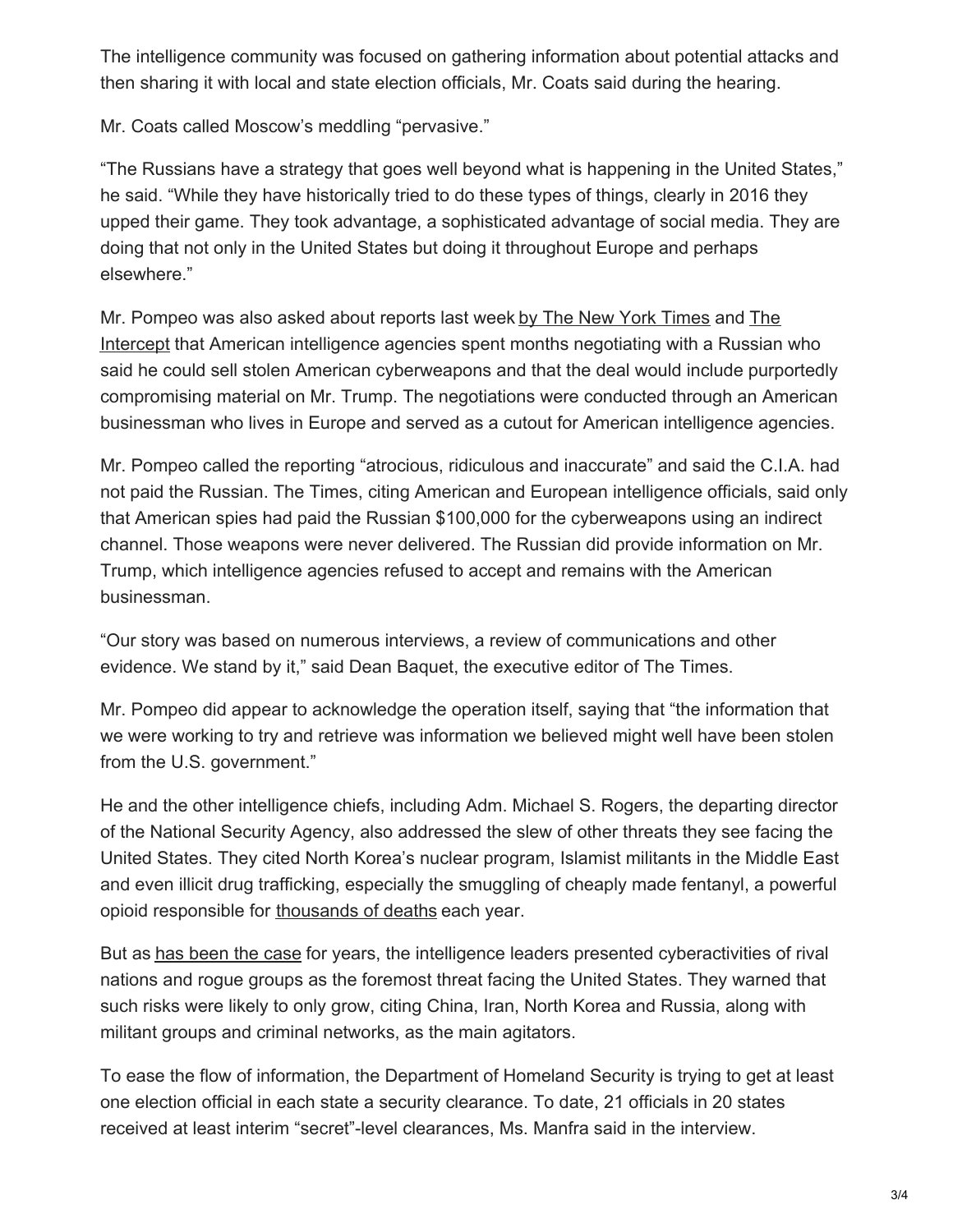The intelligence community was focused on gathering information about potential attacks and then sharing it with local and state election officials, Mr. Coats said during the hearing.

Mr. Coats called Moscow's meddling "pervasive."

"The Russians have a strategy that goes well beyond what is happening in the United States," he said. "While they have historically tried to do these types of things, clearly in 2016 they upped their game. They took advantage, a sophisticated advantage of social media. They are doing that not only in the United States but doing it throughout Europe and perhaps elsewhere."

Mr. Pompeo was also asked about reports last week by The New York [Times](https://www.nytimes.com/2018/02/09/us/politics/us-cyberweapons-russia-trump.html) and The Intercept that American [intelligence](https://theintercept.com/2018/02/09/donald-trump-russia-election-nsa/) agencies spent months negotiating with a Russian who said he could sell stolen American cyberweapons and that the deal would include purportedly compromising material on Mr. Trump. The negotiations were conducted through an American businessman who lives in Europe and served as a cutout for American intelligence agencies.

Mr. Pompeo called the reporting "atrocious, ridiculous and inaccurate" and said the C.I.A. had not paid the Russian. The Times, citing American and European intelligence officials, said only that American spies had paid the Russian \$100,000 for the cyberweapons using an indirect channel. Those weapons were never delivered. The Russian did provide information on Mr. Trump, which intelligence agencies refused to accept and remains with the American businessman.

"Our story was based on numerous interviews, a review of communications and other evidence. We stand by it," said Dean Baquet, the executive editor of The Times.

Mr. Pompeo did appear to acknowledge the operation itself, saying that "the information that we were working to try and retrieve was information we believed might well have been stolen from the U.S. government."

He and the other intelligence chiefs, including Adm. Michael S. Rogers, the departing director of the National Security Agency, also addressed the slew of other threats they see facing the United States. They cited North Korea's nuclear program, Islamist militants in the Middle East and even illicit drug trafficking, especially the smuggling of cheaply made fentanyl, a powerful opioid responsible for [thousands](https://www.nytimes.com/2017/10/26/us/opioid-crisis-public-health-emergency.html) of deaths each year.

But as has [been](https://www.nytimes.com/2017/05/11/us/politics/intelligence-officials-warn-of-russia-cyberattacks.html) the case for years, the intelligence leaders presented cyberactivities of rival nations and rogue groups as the foremost threat facing the United States. They warned that such risks were likely to only grow, citing China, Iran, North Korea and Russia, along with militant groups and criminal networks, as the main agitators.

To ease the flow of information, the Department of Homeland Security is trying to get at least one election official in each state a security clearance. To date, 21 officials in 20 states received at least interim "secret"-level clearances, Ms. Manfra said in the interview.